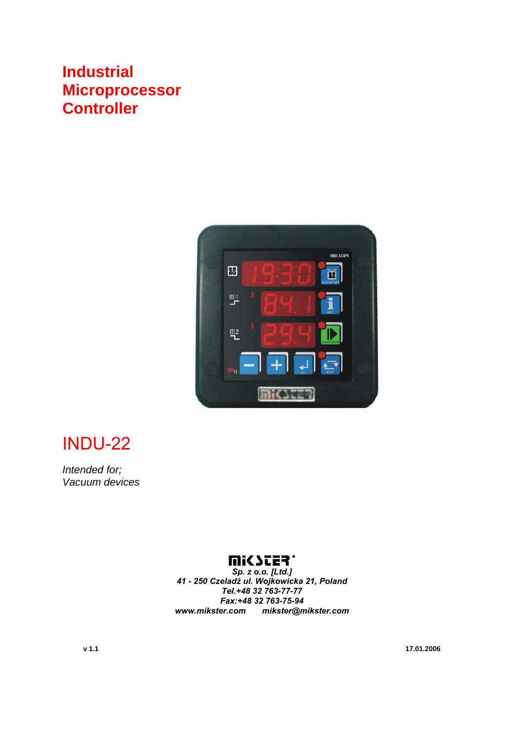# **Industrial Microprocessor Controller**



# INDU-22

*Intended for; Vacuum devices* 

#### **MICSCER**

*Sp. z o.o. [Ltd.] 41 - 250 Czeladź ul. Wojkowicka 21, Poland Tel.+48 32 763-77-77 Fax:+48 32 763-75-94 www.mikster.com mikster@mikster.com* 

**v 1.1 17.01.2006**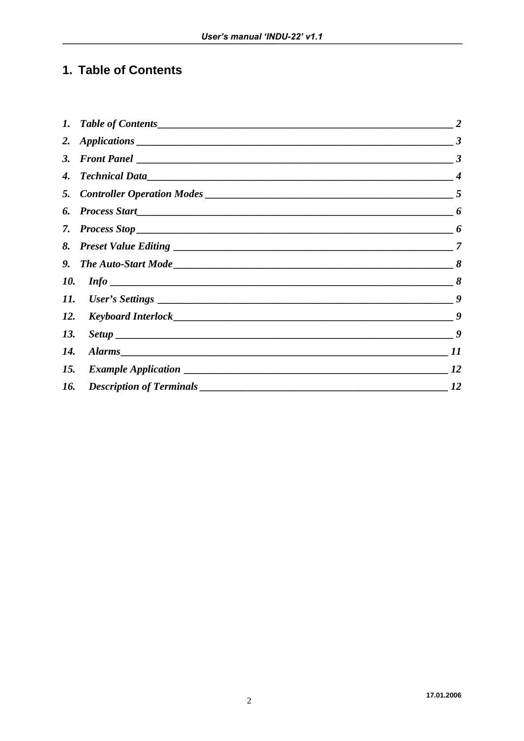## 1. Table of Contents

| $\mathbf{1}$ . |                         |    |
|----------------|-------------------------|----|
|                |                         |    |
|                |                         |    |
|                |                         |    |
|                |                         |    |
|                |                         |    |
|                |                         |    |
|                |                         |    |
|                |                         |    |
|                | 10. Info $\frac{\ }{8}$ |    |
|                |                         | 9  |
| 12.            |                         |    |
| 13.            |                         |    |
| 14.            |                         | 11 |
| 15.            |                         |    |
|                |                         | 12 |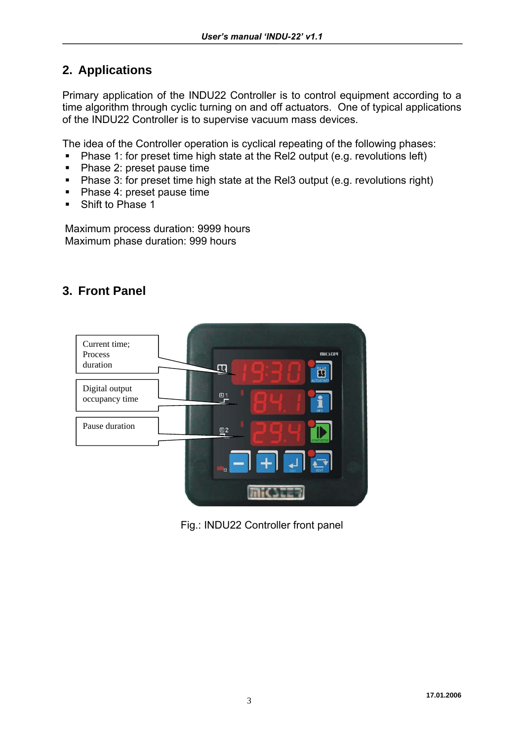### **2. Applications**

Primary application of the INDU22 Controller is to control equipment according to a time algorithm through cyclic turning on and off actuators. One of typical applications of the INDU22 Controller is to supervise vacuum mass devices.

The idea of the Controller operation is cyclical repeating of the following phases:

- Phase 1: for preset time high state at the Rel2 output (e.g. revolutions left)
- Phase 2: preset pause time
- Phase 3: for preset time high state at the Rel3 output (e.g. revolutions right)
- Phase 4: preset pause time
- Shift to Phase 1

Maximum process duration: 9999 hours Maximum phase duration: 999 hours

## **3. Front Panel**



Fig.: INDU22 Controller front panel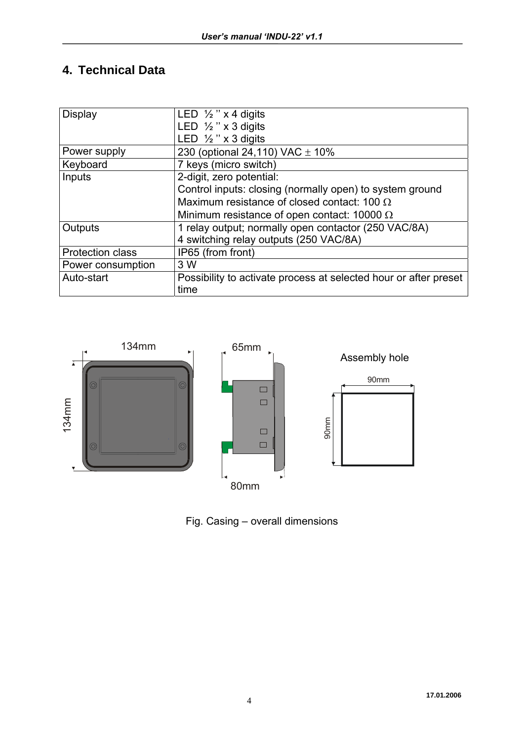## **4. Technical Data**

| <b>Display</b>          | LED $\frac{1}{2}$ " x 4 digits<br>LED $\frac{1}{2}$ " x 3 digits<br>LED $\frac{1}{2}$ " x 3 digits |  |  |
|-------------------------|----------------------------------------------------------------------------------------------------|--|--|
| Power supply            | 230 (optional 24,110) VAC $\pm$ 10%                                                                |  |  |
| Keyboard                | 7 keys (micro switch)                                                                              |  |  |
| Inputs                  | 2-digit, zero potential:                                                                           |  |  |
|                         | Control inputs: closing (normally open) to system ground                                           |  |  |
|                         | Maximum resistance of closed contact: 100 $\Omega$                                                 |  |  |
|                         | Minimum resistance of open contact: 10000 $\Omega$                                                 |  |  |
| Outputs                 | 1 relay output; normally open contactor (250 VAC/8A)                                               |  |  |
|                         | 4 switching relay outputs (250 VAC/8A)                                                             |  |  |
| <b>Protection class</b> | IP65 (from front)                                                                                  |  |  |
| Power consumption       | 3 W                                                                                                |  |  |
| Auto-start              | Possibility to activate process at selected hour or after preset                                   |  |  |
|                         | time                                                                                               |  |  |



Fig. Casing – overall dimensions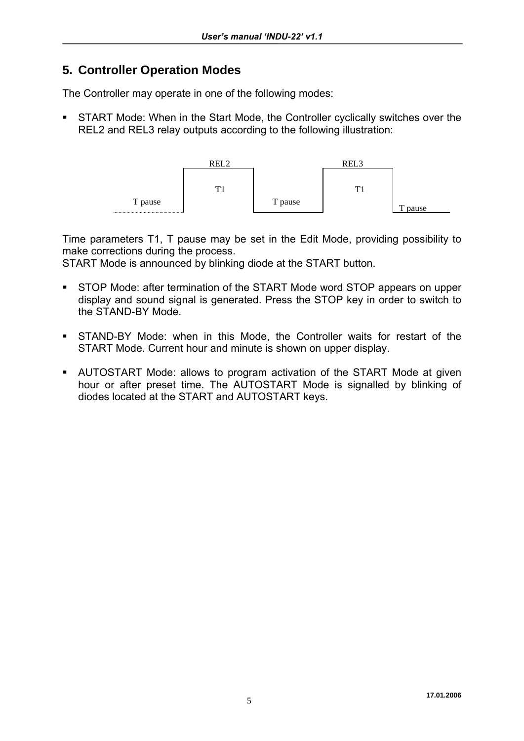#### **5. Controller Operation Modes**

The Controller may operate in one of the following modes:

 START Mode: When in the Start Mode, the Controller cyclically switches over the REL2 and REL3 relay outputs according to the following illustration:



Time parameters T1, T pause may be set in the Edit Mode, providing possibility to make corrections during the process.

START Mode is announced by blinking diode at the START button.

- STOP Mode: after termination of the START Mode word STOP appears on upper display and sound signal is generated. Press the STOP key in order to switch to the STAND-BY Mode.
- STAND-BY Mode: when in this Mode, the Controller waits for restart of the START Mode. Current hour and minute is shown on upper display.
- AUTOSTART Mode: allows to program activation of the START Mode at given hour or after preset time. The AUTOSTART Mode is signalled by blinking of diodes located at the START and AUTOSTART keys.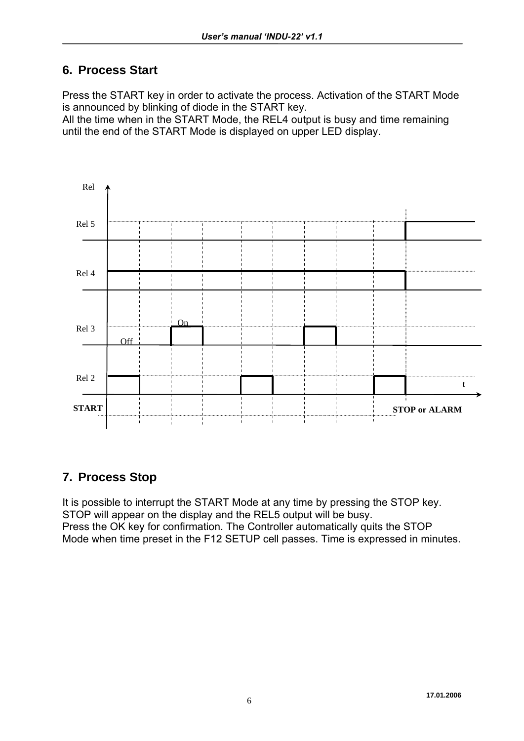#### **6. Process Start**

Press the START key in order to activate the process. Activation of the START Mode is announced by blinking of diode in the START key.

All the time when in the START Mode, the REL4 output is busy and time remaining until the end of the START Mode is displayed on upper LED display.



#### **7. Process Stop**

It is possible to interrupt the START Mode at any time by pressing the STOP key. STOP will appear on the display and the REL5 output will be busy. Press the OK key for confirmation. The Controller automatically quits the STOP Mode when time preset in the F12 SETUP cell passes. Time is expressed in minutes.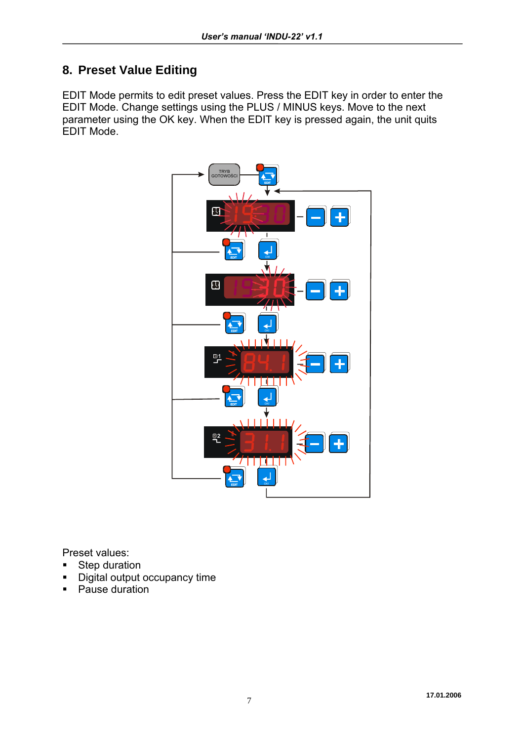#### **8. Preset Value Editing**

EDIT Mode permits to edit preset values. Press the EDIT key in order to enter the EDIT Mode. Change settings using the PLUS / MINUS keys. Move to the next parameter using the OK key. When the EDIT key is pressed again, the unit quits EDIT Mode.



Preset values:

- **Step duration**
- Digital output occupancy time
- Pause duration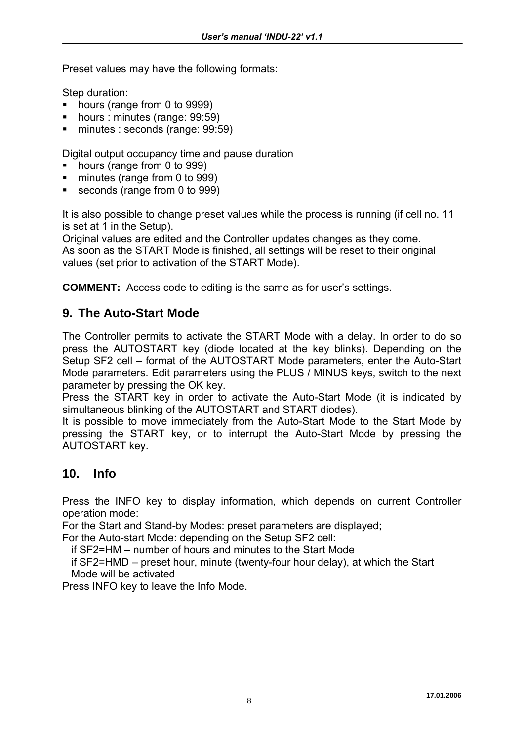Preset values may have the following formats:

Step duration:

- hours (range from 0 to 9999)
- hours : minutes (range: 99:59)
- minutes : seconds (range: 99:59)

Digital output occupancy time and pause duration

- hours (range from 0 to 999)
- minutes (range from 0 to 999)
- seconds (range from 0 to 999)

It is also possible to change preset values while the process is running (if cell no. 11 is set at 1 in the Setup).

Original values are edited and the Controller updates changes as they come. As soon as the START Mode is finished, all settings will be reset to their original values (set prior to activation of the START Mode).

**COMMENT:** Access code to editing is the same as for user's settings.

#### **9. The Auto-Start Mode**

The Controller permits to activate the START Mode with a delay. In order to do so press the AUTOSTART key (diode located at the key blinks). Depending on the Setup SF2 cell – format of the AUTOSTART Mode parameters, enter the Auto-Start Mode parameters. Edit parameters using the PLUS / MINUS keys, switch to the next parameter by pressing the OK key.

Press the START key in order to activate the Auto-Start Mode (it is indicated by simultaneous blinking of the AUTOSTART and START diodes).

It is possible to move immediately from the Auto-Start Mode to the Start Mode by pressing the START key, or to interrupt the Auto-Start Mode by pressing the AUTOSTART key.

#### **10. Info**

Press the INFO key to display information, which depends on current Controller operation mode:

For the Start and Stand-by Modes: preset parameters are displayed;

For the Auto-start Mode: depending on the Setup SF2 cell:

if SF2=HM – number of hours and minutes to the Start Mode

 if SF2=HMD – preset hour, minute (twenty-four hour delay), at which the Start Mode will be activated

Press INFO key to leave the Info Mode.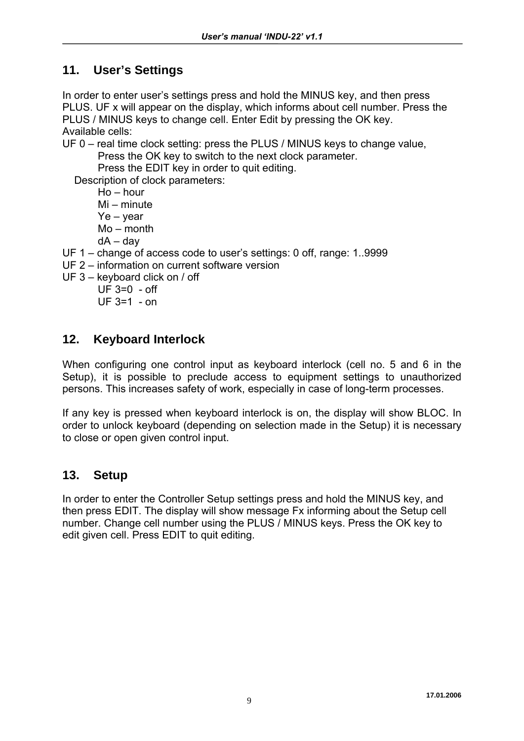#### **11. User's Settings**

In order to enter user's settings press and hold the MINUS key, and then press PLUS. UF x will appear on the display, which informs about cell number. Press the PLUS / MINUS keys to change cell. Enter Edit by pressing the OK key. Available cells:

UF 0 – real time clock setting: press the PLUS / MINUS keys to change value, Press the OK key to switch to the next clock parameter.

Press the EDIT key in order to quit editing.

Description of clock parameters:

Ho – hour

Mi – minute

- Ye year
- Mo month
- dA day
- UF 1 change of access code to user's settings: 0 off, range: 1..9999
- UF 2 information on current software version
- UF 3 keyboard click on / off
	- $UF 3=0 off$ UF 3=1 - on

#### **12. Keyboard Interlock**

When configuring one control input as keyboard interlock (cell no. 5 and 6 in the Setup), it is possible to preclude access to equipment settings to unauthorized persons. This increases safety of work, especially in case of long-term processes.

If any key is pressed when keyboard interlock is on, the display will show BLOC. In order to unlock keyboard (depending on selection made in the Setup) it is necessary to close or open given control input.

#### **13. Setup**

In order to enter the Controller Setup settings press and hold the MINUS key, and then press EDIT. The display will show message Fx informing about the Setup cell number. Change cell number using the PLUS / MINUS keys. Press the OK key to edit given cell. Press EDIT to quit editing.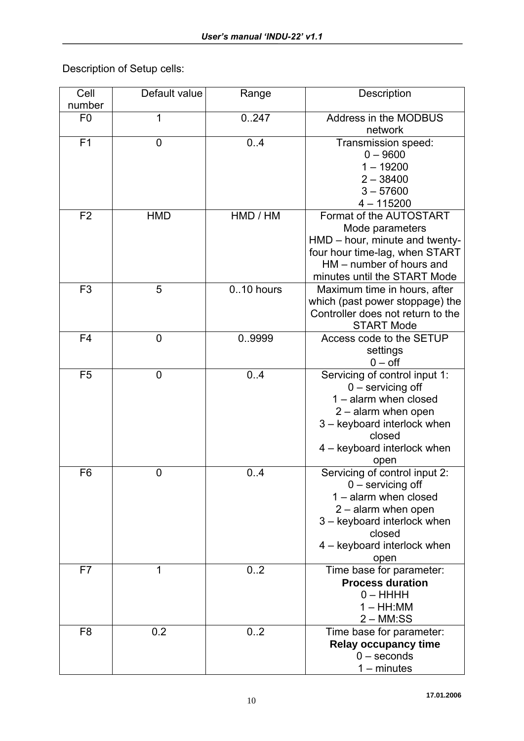Description of Setup cells:

| Cell           | Default value  | Range     | Description                       |
|----------------|----------------|-----------|-----------------------------------|
| number         |                |           |                                   |
| F <sub>0</sub> | 1              | 0.247     | Address in the MODBUS             |
|                |                |           | network                           |
| F <sub>1</sub> | $\overline{0}$ | 0.4       | Transmission speed:               |
|                |                |           | $0 - 9600$                        |
|                |                |           | $1 - 19200$                       |
|                |                |           | $2 - 38400$                       |
|                |                |           | $3 - 57600$                       |
|                |                |           | $4 - 115200$                      |
| F <sub>2</sub> | <b>HMD</b>     | HMD / HM  | Format of the AUTOSTART           |
|                |                |           | Mode parameters                   |
|                |                |           | HMD - hour, minute and twenty-    |
|                |                |           | four hour time-lag, when START    |
|                |                |           | HM - number of hours and          |
|                |                |           | minutes until the START Mode      |
| F <sub>3</sub> | 5              | 010 hours | Maximum time in hours, after      |
|                |                |           | which (past power stoppage) the   |
|                |                |           | Controller does not return to the |
|                |                |           | <b>START Mode</b>                 |
| F <sub>4</sub> | $\mathbf 0$    | 0.9999    | Access code to the SETUP          |
|                |                |           | settings                          |
|                |                |           | $0 - off$                         |
| F <sub>5</sub> | $\overline{0}$ | 0.4       | Servicing of control input 1:     |
|                |                |           | $0$ – servicing off               |
|                |                |           | 1 - alarm when closed             |
|                |                |           | $2 -$ alarm when open             |
|                |                |           | 3 - keyboard interlock when       |
|                |                |           | closed                            |
|                |                |           | 4 - keyboard interlock when       |
|                |                |           | open                              |
| F <sub>6</sub> | $\mathbf 0$    | 0.4       | Servicing of control input 2:     |
|                |                |           | $0$ – servicing off               |
|                |                |           | 1 - alarm when closed             |
|                |                |           | $2 -$ alarm when open             |
|                |                |           | 3 - keyboard interlock when       |
|                |                |           | closed                            |
|                |                |           | 4 - keyboard interlock when       |
|                |                |           | open                              |
| F7             | 1              | 0.2       | Time base for parameter:          |
|                |                |           | <b>Process duration</b>           |
|                |                |           | $0 - HHHH$                        |
|                |                |           | $1 - HH: MM$                      |
|                |                |           | $2 - MM:SS$                       |
| F <sub>8</sub> | 0.2            | 0.2       | Time base for parameter:          |
|                |                |           | <b>Relay occupancy time</b>       |
|                |                |           | $0 -$ seconds                     |
|                |                |           | $1 -$ minutes                     |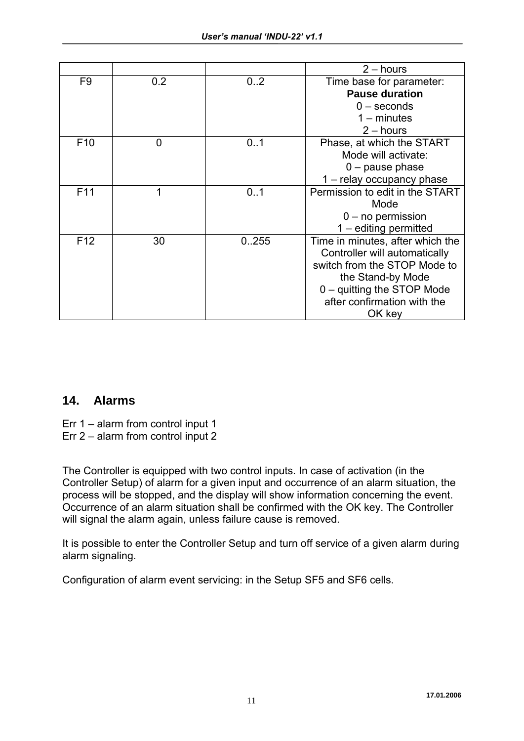|                 |     |       | $2 - hours$                      |
|-----------------|-----|-------|----------------------------------|
| F <sub>9</sub>  | 0.2 | 02    | Time base for parameter:         |
|                 |     |       | <b>Pause duration</b>            |
|                 |     |       | $0$ – seconds                    |
|                 |     |       | $1 -$ minutes                    |
|                 |     |       | $2 - hours$                      |
| F <sub>10</sub> | 0   | 0.1   | Phase, at which the START        |
|                 |     |       | Mode will activate:              |
|                 |     |       | $0$ – pause phase                |
|                 |     |       | 1 - relay occupancy phase        |
| F <sub>11</sub> | 1   | 0.1   | Permission to edit in the START  |
|                 |     |       | Mode                             |
|                 |     |       | $0 - no$ permission              |
|                 |     |       | $1 -$ editing permitted          |
| F12             | 30  | 0.255 | Time in minutes, after which the |
|                 |     |       | Controller will automatically    |
|                 |     |       | switch from the STOP Mode to     |
|                 |     |       | the Stand-by Mode                |
|                 |     |       | 0 - quitting the STOP Mode       |
|                 |     |       | after confirmation with the      |
|                 |     |       | OK key                           |

#### **14. Alarms**

Err 1 – alarm from control input 1

Err 2 – alarm from control input 2

The Controller is equipped with two control inputs. In case of activation (in the Controller Setup) of alarm for a given input and occurrence of an alarm situation, the process will be stopped, and the display will show information concerning the event. Occurrence of an alarm situation shall be confirmed with the OK key. The Controller will signal the alarm again, unless failure cause is removed.

It is possible to enter the Controller Setup and turn off service of a given alarm during alarm signaling.

Configuration of alarm event servicing: in the Setup SF5 and SF6 cells.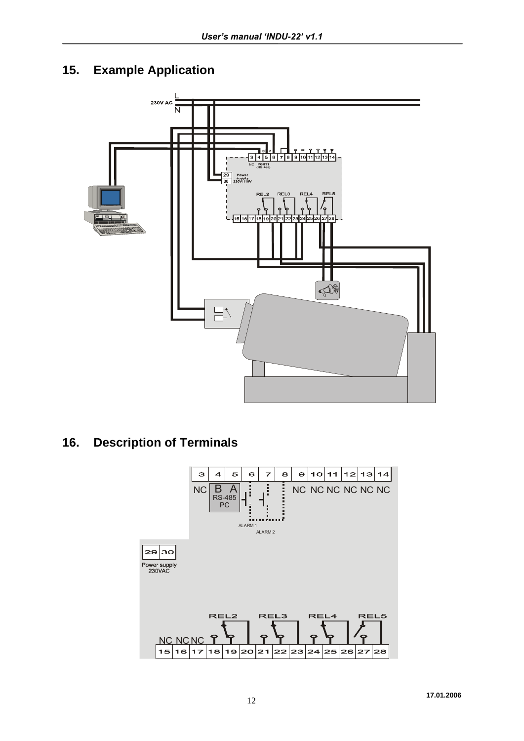#### **15. Example Application**



## **16. Description of Terminals**

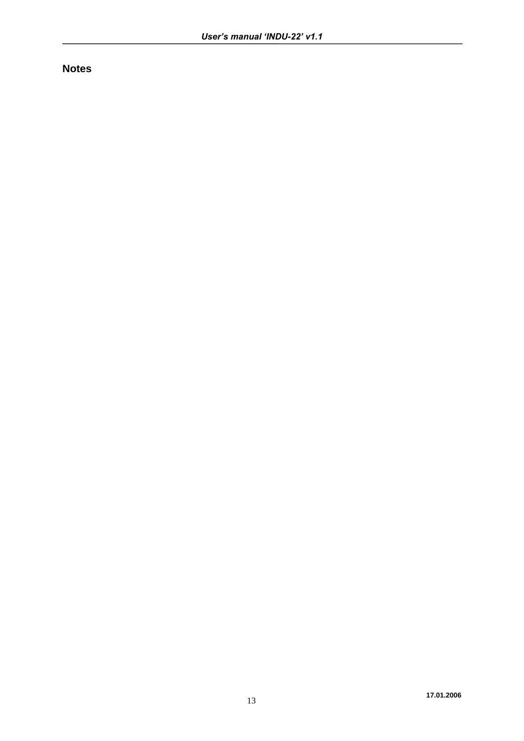**Notes**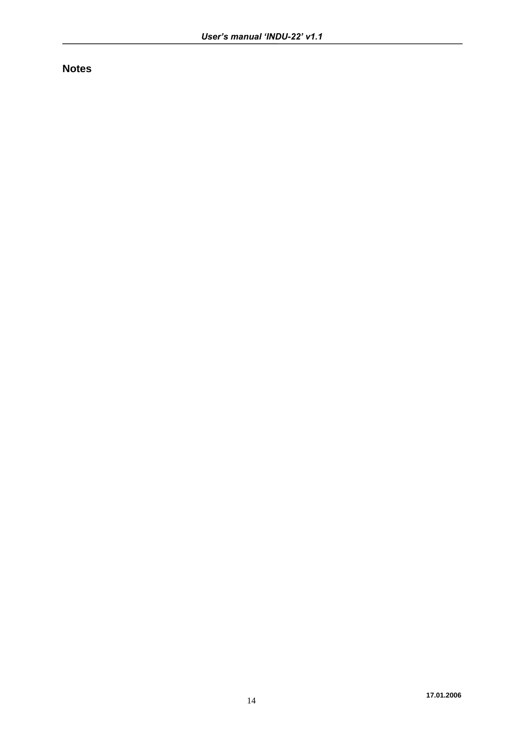**Notes**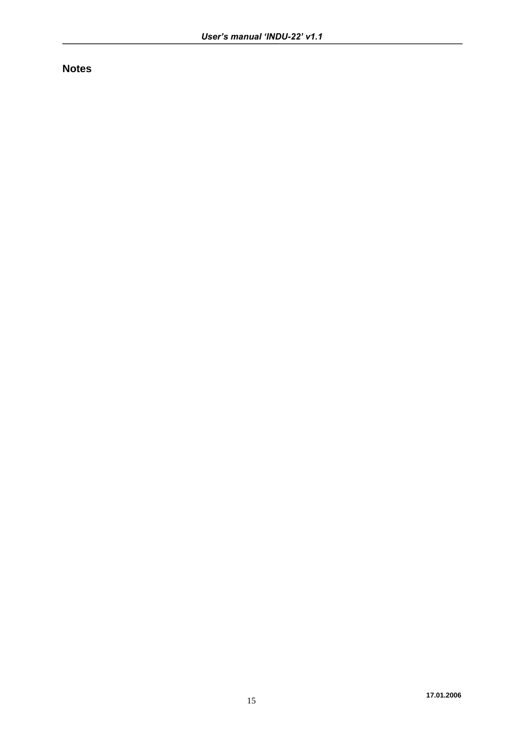**Notes**